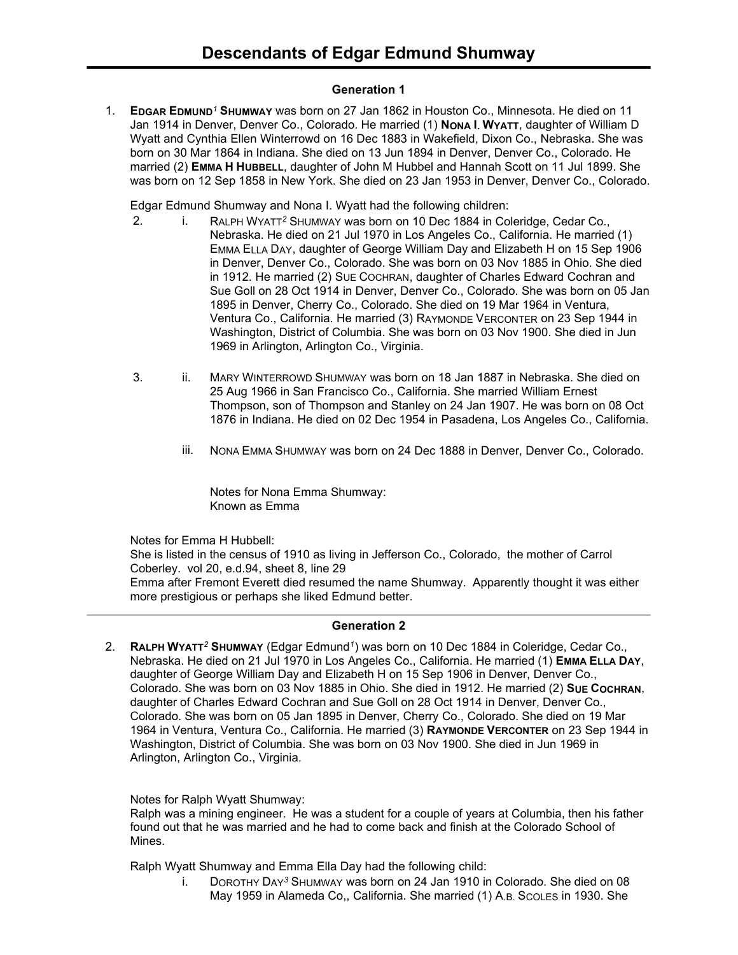### **Generation 1**

1. **EDGAR EDMUND***<sup>1</sup>* **SHUMWAY** was born on 27 Jan 1862 in Houston Co., Minnesota. He died on 11 Jan 1914 in Denver, Denver Co., Colorado. He married (1) **NONA I. WYATT**, daughter of William D Wyatt and Cynthia Ellen Winterrowd on 16 Dec 1883 in Wakefield, Dixon Co., Nebraska. She was born on 30 Mar 1864 in Indiana. She died on 13 Jun 1894 in Denver, Denver Co., Colorado. He married (2) **EMMA H HUBBELL**, daughter of John M Hubbel and Hannah Scott on 11 Jul 1899. She was born on 12 Sep 1858 in New York. She died on 23 Jan 1953 in Denver, Denver Co., Colorado.

Edgar Edmund Shumway and Nona I. Wyatt had the following children:

- 2. i. RALPH WYATT*<sup>2</sup>* SHUMWAY was born on 10 Dec 1884 in Coleridge, Cedar Co., Nebraska. He died on 21 Jul 1970 in Los Angeles Co., California. He married (1) EMMA ELLA DAY, daughter of George William Day and Elizabeth H on 15 Sep 1906 in Denver, Denver Co., Colorado. She was born on 03 Nov 1885 in Ohio. She died in 1912. He married (2) SUE COCHRAN, daughter of Charles Edward Cochran and Sue Goll on 28 Oct 1914 in Denver, Denver Co., Colorado. She was born on 05 Jan 1895 in Denver, Cherry Co., Colorado. She died on 19 Mar 1964 in Ventura, Ventura Co., California. He married (3) RAYMONDE VERCONTER on 23 Sep 1944 in Washington, District of Columbia. She was born on 03 Nov 1900. She died in Jun 1969 in Arlington, Arlington Co., Virginia.
- 3. ii. MARY WINTERROWD SHUMWAY was born on 18 Jan 1887 in Nebraska. She died on 25 Aug 1966 in San Francisco Co., California. She married William Ernest Thompson, son of Thompson and Stanley on 24 Jan 1907. He was born on 08 Oct 1876 in Indiana. He died on 02 Dec 1954 in Pasadena, Los Angeles Co., California.
	- iii. NONA EMMA SHUMWAY was born on 24 Dec 1888 in Denver, Denver Co., Colorado.

Notes for Nona Emma Shumway: Known as Emma

Notes for Emma H Hubbell:

She is listed in the census of 1910 as living in Jefferson Co., Colorado, the mother of Carrol Coberley. vol 20, e.d.94, sheet 8, line 29 Emma after Fremont Everett died resumed the name Shumway. Apparently thought it was either more prestigious or perhaps she liked Edmund better.

# **Generation 2**

2. **RALPH WYATT***<sup>2</sup>* **SHUMWAY** (Edgar Edmund*<sup>1</sup>* ) was born on 10 Dec 1884 in Coleridge, Cedar Co., Nebraska. He died on 21 Jul 1970 in Los Angeles Co., California. He married (1) **EMMA ELLA DAY**, daughter of George William Day and Elizabeth H on 15 Sep 1906 in Denver, Denver Co., Colorado. She was born on 03 Nov 1885 in Ohio. She died in 1912. He married (2) **SUE COCHRAN**, daughter of Charles Edward Cochran and Sue Goll on 28 Oct 1914 in Denver, Denver Co., Colorado. She was born on 05 Jan 1895 in Denver, Cherry Co., Colorado. She died on 19 Mar 1964 in Ventura, Ventura Co., California. He married (3) **RAYMONDE VERCONTER** on 23 Sep 1944 in Washington, District of Columbia. She was born on 03 Nov 1900. She died in Jun 1969 in Arlington, Arlington Co., Virginia.

### Notes for Ralph Wyatt Shumway:

Ralph was a mining engineer. He was a student for a couple of years at Columbia, then his father found out that he was married and he had to come back and finish at the Colorado School of Mines.

Ralph Wyatt Shumway and Emma Ella Day had the following child:

i. DOROTHY DAY*<sup>3</sup>* SHUMWAY was born on 24 Jan 1910 in Colorado. She died on 08 May 1959 in Alameda Co,, California. She married (1) A.B. SCOLES in 1930. She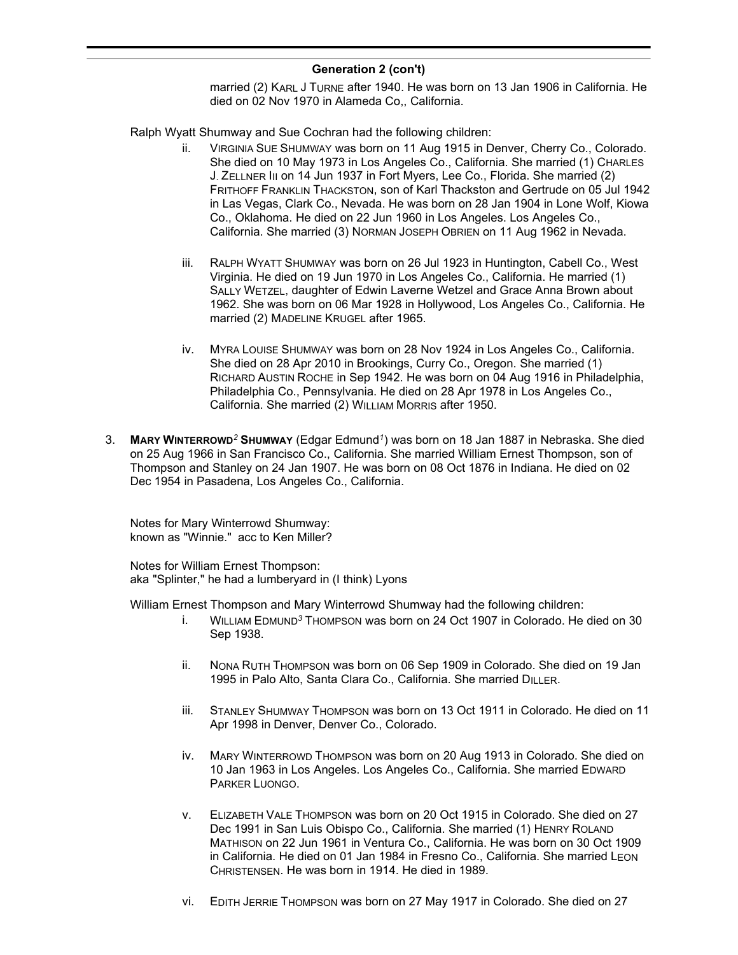# **Generation 2 (con't)**

married (2) KARL J TURNE after 1940. He was born on 13 Jan 1906 in California. He died on 02 Nov 1970 in Alameda Co,, California.

Ralph Wyatt Shumway and Sue Cochran had the following children:

- ii. VIRGINIA SUE SHUMWAY was born on 11 Aug 1915 in Denver, Cherry Co., Colorado. She died on 10 May 1973 in Los Angeles Co., California. She married (1) CHARLES J. ZELLNER III on 14 Jun 1937 in Fort Myers, Lee Co., Florida. She married (2) FRITHOFF FRANKLIN THACKSTON, son of Karl Thackston and Gertrude on 05 Jul 1942 in Las Vegas, Clark Co., Nevada. He was born on 28 Jan 1904 in Lone Wolf, Kiowa Co., Oklahoma. He died on 22 Jun 1960 in Los Angeles. Los Angeles Co., California. She married (3) NORMAN JOSEPH OBRIEN on 11 Aug 1962 in Nevada.
- iii. RALPH WYATT SHUMWAY was born on 26 Jul 1923 in Huntington, Cabell Co., West Virginia. He died on 19 Jun 1970 in Los Angeles Co., California. He married (1) SALLY WETZEL, daughter of Edwin Laverne Wetzel and Grace Anna Brown about 1962. She was born on 06 Mar 1928 in Hollywood, Los Angeles Co., California. He married (2) MADELINE KRUGEL after 1965.
- iv. MYRA LOUISE SHUMWAY was born on 28 Nov 1924 in Los Angeles Co., California. She died on 28 Apr 2010 in Brookings, Curry Co., Oregon. She married (1) RICHARD AUSTIN ROCHE in Sep 1942. He was born on 04 Aug 1916 in Philadelphia, Philadelphia Co., Pennsylvania. He died on 28 Apr 1978 in Los Angeles Co., California. She married (2) WILLIAM MORRIS after 1950.
- 3. **MARY WINTERROWD***<sup>2</sup>* **SHUMWAY** (Edgar Edmund*<sup>1</sup>* ) was born on 18 Jan 1887 in Nebraska. She died on 25 Aug 1966 in San Francisco Co., California. She married William Ernest Thompson, son of Thompson and Stanley on 24 Jan 1907. He was born on 08 Oct 1876 in Indiana. He died on 02 Dec 1954 in Pasadena, Los Angeles Co., California.

Notes for Mary Winterrowd Shumway: known as "Winnie." acc to Ken Miller?

Notes for William Ernest Thompson: aka "Splinter," he had a lumberyard in (I think) Lyons

William Ernest Thompson and Mary Winterrowd Shumway had the following children:

- i. WILLIAM EDMUND*<sup>3</sup>* THOMPSON was born on 24 Oct 1907 in Colorado. He died on 30 Sep 1938.
- ii. NONA RUTH THOMPSON was born on 06 Sep 1909 in Colorado. She died on 19 Jan 1995 in Palo Alto, Santa Clara Co., California. She married DILLER.
- iii. STANLEY SHUMWAY THOMPSON was born on 13 Oct 1911 in Colorado. He died on 11 Apr 1998 in Denver, Denver Co., Colorado.
- iv. MARY WINTERROWD THOMPSON was born on 20 Aug 1913 in Colorado. She died on 10 Jan 1963 in Los Angeles. Los Angeles Co., California. She married EDWARD PARKER LUONGO.
- v. ELIZABETH VALE THOMPSON was born on 20 Oct 1915 in Colorado. She died on 27 Dec 1991 in San Luis Obispo Co., California. She married (1) HENRY ROLAND MATHISON on 22 Jun 1961 in Ventura Co., California. He was born on 30 Oct 1909 in California. He died on 01 Jan 1984 in Fresno Co., California. She married LEON CHRISTENSEN. He was born in 1914. He died in 1989.
- vi. EDITH JERRIE THOMPSON was born on 27 May 1917 in Colorado. She died on 27